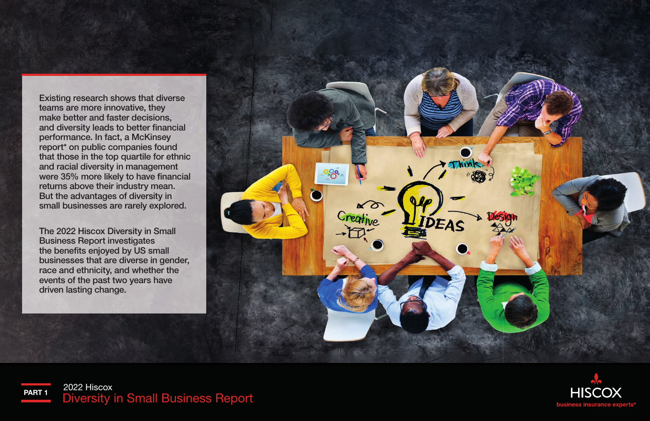Existing research shows that diverse teams are more innovative, they make better and faster decisions, and diversity leads to better financial performance. In fact, a McKinsey report\* on public companies found that those in the top quartile for ethnic and racial diversity in management were 35% more likely to have financial returns above their industry mean. But the advantages of diversity in small businesses are rarely explored.

The 2022 Hiscox Diversity in Small Business Report investigates the benefits enjoyed by US small businesses that are diverse in gender, race and ethnicity, and whether the events of the past two years have driven lasting change.





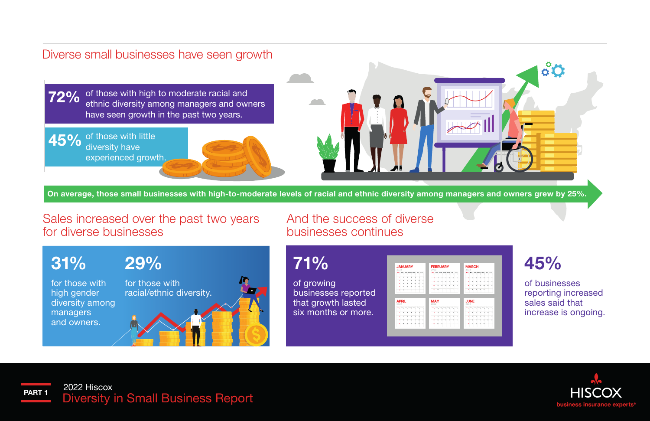#### Diverse small businesses have seen growth

of those with high to moderate racial and 72% ethnic diversity among managers and owners have seen growth in the past two years.

45% of those with little diversity have experienced growth.



On average, those small businesses with high-to-moderate levels of racial and ethnic diversity among managers and owners grew by 25%.

71%

of growing

businesses reported that growth lasted six months or more.

#### Sales increased over the past two years for diverse businesses

And the success of diverse businesses continues



| <b>JANUARY</b><br>2022                                                                                                                                                                            | <b>FEBRUARY</b><br>2022                                                                          | <b>MARCH</b><br>2022                                                                                      |
|---------------------------------------------------------------------------------------------------------------------------------------------------------------------------------------------------|--------------------------------------------------------------------------------------------------|-----------------------------------------------------------------------------------------------------------|
| heat them have moved from the tour.<br>$\frac{1}{2}$ $\frac{1}{2}$ $\frac{1}{2}$ $\frac{1}{2}$ $\frac{1}{2}$ $\frac{1}{2}$ $\frac{1}{2}$<br>$\overline{\phantom{a}}$                              | home show home money money that home<br><b>Participation</b><br>$\frac{1}{2}$<br>÷.,<br>٠        | home shown funds themes funds from home.<br><b>CONTRACTOR</b><br>x                                        |
| x<br>$\Phi_i$<br>×<br>×<br>$\mathbf{A}$<br>$\overline{\phantom{a}}$<br>٠                                                                                                                          | $\scriptstyle\rm H$<br>$\sim$<br>w<br>×<br>٠<br>×                                                | <b>AS</b><br>$\mathbf{a}$<br>x<br>×<br>×                                                                  |
| $\overline{12}$<br>$^{24}$<br>$^{12}$<br>×<br>$\mathbf{v}$<br>$\mathbf{r}$<br>٠                                                                                                                   | w<br>$\mathbf{a}$<br>$\overline{a}$<br>15<br>w.<br>$\mathbf{u}$<br>$\rightarrow$                 | $\mathbf{a}$<br>$\overline{u}$<br>15<br>$\omega$<br>$\overline{\phantom{a}}$<br>$^{46}$                   |
| $\mathbf{M}$<br>$\mathbf{v}$<br>$\mathbf{u}$<br>$\mathbf{u}$<br>20 <sup>2</sup><br>$\mathbf{H}$<br>32 <sup>°</sup><br>$\mathbb{R}^2$<br>17<br>$^{24}$<br>$\mathbf{a}$<br>$^{14}$<br>24<br>$^{16}$ | m.<br>$^{+1}$<br>$+1$<br>14<br>$\sim$<br>$\sim$<br>$^{12}$                                       | <b>AN</b><br>$+1$<br>x<br>$\mathbf{r}$<br>14<br>$\sim$                                                    |
|                                                                                                                                                                                                   |                                                                                                  |                                                                                                           |
| $\mathbf{r}$<br>×                                                                                                                                                                                 | $\mathbf{r}$<br>$\mathbf{r}$<br><b>MAY</b>                                                       | $\mathbf{r}$<br>$\mathbf{r}$<br>22<br>$\overline{\phantom{a}}$<br>$\overline{r}$<br><b>JUNE</b>           |
| <b>APRIL</b><br>2022                                                                                                                                                                              | 2022                                                                                             | 2022                                                                                                      |
| here: More have mostly fants him hours<br>x<br>w<br>۰<br>ъ                                                                                                                                        | home show home money money that<br><b>Substitute</b><br>x<br>x<br>×.<br>s<br>x                   | hand them have money hear the tours<br>×<br>x<br>ъ                                                        |
| ×<br>×<br>×<br>×<br>$\epsilon$<br>$\mathbf{r}$<br>×                                                                                                                                               | $\overline{a}$<br>w<br>$\ddot{\phantom{1}}$<br>W.<br>$\sim$<br>×<br>٠                            | v<br>٠<br>٠                                                                                               |
| $\overline{a}$<br>$\sim$<br>$^{11}$<br>$\mathbf{r}$<br>$^{12}$<br>M.<br>$\rightarrow$                                                                                                             | $\sim$<br>$\sim$<br>$\mathbf{r}$<br>$\sim$<br>$\mathbf{r}$<br>$\sim$<br>$\overline{\phantom{a}}$ | $\overline{\phantom{a}}$<br>$\mathbf{r}$<br>$\mathbf{v}$<br><b>A</b><br>$\mathbf{v}$<br>$^{16}$<br>$\sim$ |
| $\mathbf{r}$<br>$\mathbb{R}^n$<br>22<br>$\sim$<br>$\mathbb{R}$<br>$\mathbf{r}$<br>$\mathbb{R}^2$                                                                                                  | $\mathbf{H}$<br>34<br>$\sim$<br>35<br>22.<br>22<br>$\mathbf{r}$                                  | $\mathbf{r}$<br>$^{12}$<br>22<br>$\mathbf{r}$<br>$\sim$<br>$^{14}$                                        |

45%

 $\overset{\circ}{\circ}$ O

of businesses reporting increased sales said that increase is ongoing.

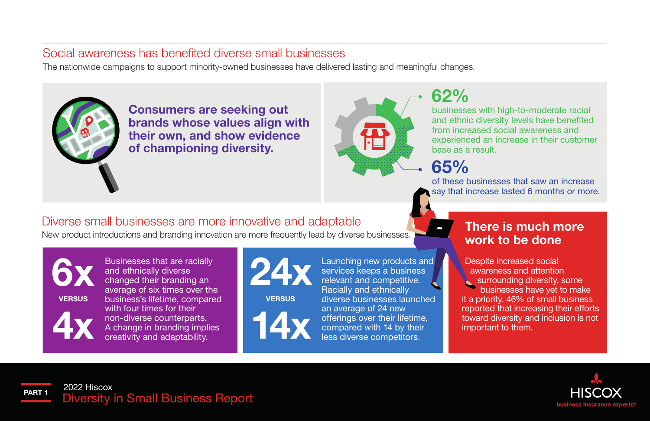#### Social awareness has benefited diverse small businesses

The nationwide campaigns to support minority-owned businesses have delivered lasting and meaningful changes.



Consumers are seeking out brands whose values align with their own, and show evidence of championing diversity.



### 62%

businesses with high-to-moderate racial and ethnic diversity levels have benefited from increased social awareness and experienced an increase in their customer base as a result.

65%

of these businesses that saw an increase say that increase lasted 6 months or more.

#### Diverse small businesses are more innovative and adaptable

New product introductions and branding innovation are more frequently lead by diverse businesses.



Businesses that are racially and ethnically diverse changed their branding an average of six times over the business's lifetime, compared with four times for their non-diverse counterparts. A change in branding implies creativity and adaptability.



**VERSUS** 



Launching new products and services keeps a business relevant and competitive. Racially and ethnically diverse businesses launched an average of 24 new offerings over their lifetime, compared with 14 by their less diverse competitors.

#### There is much more work to be done

 Despite increased social awareness and attention surrounding diversity, some businesses have yet to make it a priority. 46% of small business reported that increasing their efforts toward diversity and inclusion is not important to them.